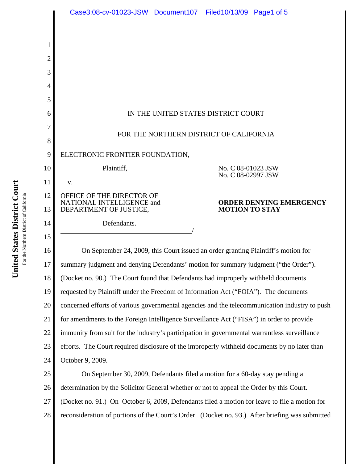|          | Case3:08-cv-01023-JSW Document107 Filed10/13/09 Page1 of 5                                    |  |                                                  |  |  |
|----------|-----------------------------------------------------------------------------------------------|--|--------------------------------------------------|--|--|
|          |                                                                                               |  |                                                  |  |  |
|          |                                                                                               |  |                                                  |  |  |
| 2        |                                                                                               |  |                                                  |  |  |
| 3        |                                                                                               |  |                                                  |  |  |
| 4        |                                                                                               |  |                                                  |  |  |
| 5        |                                                                                               |  |                                                  |  |  |
| 6        | IN THE UNITED STATES DISTRICT COURT                                                           |  |                                                  |  |  |
|          | FOR THE NORTHERN DISTRICT OF CALIFORNIA                                                       |  |                                                  |  |  |
| 8        |                                                                                               |  |                                                  |  |  |
| 9        | ELECTRONIC FRONTIER FOUNDATION,                                                               |  |                                                  |  |  |
| 10       | Plaintiff,                                                                                    |  | No. C 08-01023 JSW<br>No. C 08-02997 JSW         |  |  |
| 11       | V.                                                                                            |  |                                                  |  |  |
| 12<br>13 | OFFICE OF THE DIRECTOR OF<br>NATIONAL INTELLIGENCE and<br>DEPARTMENT OF JUSTICE,              |  | ORDER DENYING EMERGENCY<br><b>MOTION TO STAY</b> |  |  |
| 14       | Defendants.                                                                                   |  |                                                  |  |  |
| 15       |                                                                                               |  |                                                  |  |  |
| 16       | On September 24, 2009, this Court issued an order granting Plaintiff's motion for             |  |                                                  |  |  |
| 17       | summary judgment and denying Defendants' motion for summary judgment ("the Order").           |  |                                                  |  |  |
| 18       | (Docket no. 90.) The Court found that Defendants had improperly withheld documents            |  |                                                  |  |  |
| 19       | requested by Plaintiff under the Freedom of Information Act ("FOIA"). The documents           |  |                                                  |  |  |
| 20       | concerned efforts of various governmental agencies and the telecommunication industry to push |  |                                                  |  |  |
| 21       | for amendments to the Foreign Intelligence Surveillance Act ("FISA") in order to provide      |  |                                                  |  |  |
| 22       | immunity from suit for the industry's participation in governmental warrantless surveillance  |  |                                                  |  |  |
| 23       | efforts. The Court required disclosure of the improperly withheld documents by no later than  |  |                                                  |  |  |
| 24       | October 9, 2009.                                                                              |  |                                                  |  |  |
| 25       | On September 30, 2009, Defendants filed a motion for a 60-day stay pending a                  |  |                                                  |  |  |
| 26       | determination by the Solicitor General whether or not to appeal the Order by this Court.      |  |                                                  |  |  |

27 (Docket no. 91.) On October 6, 2009, Defendants filed a motion for leave to file a motion for

28 reconsideration of portions of the Court's Order. (Docket no. 93.) After briefing was submitted

**United States District Court United States District Court** For the Northern District of California For the Northern District of California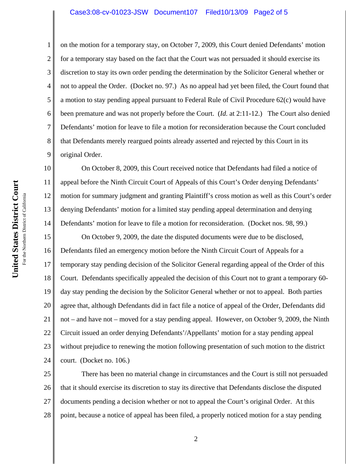## Case3:08-cv-01023-JSW Document107 Filed10/13/09 Page2 of 5

on the motion for a temporary stay, on October 7, 2009, this Court denied Defendants' motion for a temporary stay based on the fact that the Court was not persuaded it should exercise its discretion to stay its own order pending the determination by the Solicitor General whether or not to appeal the Order. (Docket no. 97.) As no appeal had yet been filed, the Court found that a motion to stay pending appeal pursuant to Federal Rule of Civil Procedure 62(c) would have been premature and was not properly before the Court. (*Id.* at 2:11-12.) The Court also denied Defendants' motion for leave to file a motion for reconsideration because the Court concluded that Defendants merely reargued points already asserted and rejected by this Court in its original Order.

10 12 On October 8, 2009, this Court received notice that Defendants had filed a notice of appeal before the Ninth Circuit Court of Appeals of this Court's Order denying Defendants' motion for summary judgment and granting Plaintiff's cross motion as well as this Court's order denying Defendants' motion for a limited stay pending appeal determination and denying Defendants' motion for leave to file a motion for reconsideration. (Docket nos. 98, 99.)

15 16 17 18 19 20 21 22 23 24 On October 9, 2009, the date the disputed documents were due to be disclosed, Defendants filed an emergency motion before the Ninth Circuit Court of Appeals for a temporary stay pending decision of the Solicitor General regarding appeal of the Order of this Court. Defendants specifically appealed the decision of this Court not to grant a temporary 60 day stay pending the decision by the Solicitor General whether or not to appeal. Both parties agree that, although Defendants did in fact file a notice of appeal of the Order, Defendants did not – and have not – moved for a stay pending appeal. However, on October 9, 2009, the Ninth Circuit issued an order denying Defendants'/Appellants' motion for a stay pending appeal without prejudice to renewing the motion following presentation of such motion to the district court. (Docket no. 106.)

25 26 27 28 There has been no material change in circumstances and the Court is still not persuaded that it should exercise its discretion to stay its directive that Defendants disclose the disputed documents pending a decision whether or not to appeal the Court's original Order. At this point, because a notice of appeal has been filed, a properly noticed motion for a stay pending

1

2

3

4

5

6

7

8

9

11

13

14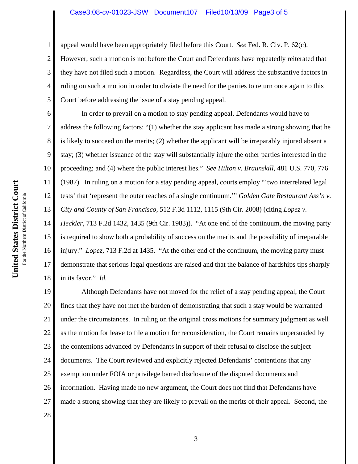## Case3:08-cv-01023-JSW Document107 Filed10/13/09 Page3 of 5

appeal would have been appropriately filed before this Court. *See* Fed. R. Civ. P. 62(c).

However, such a motion is not before the Court and Defendants have repeatedly reiterated that they have not filed such a motion. Regardless, the Court will address the substantive factors in ruling on such a motion in order to obviate the need for the parties to return once again to this Court before addressing the issue of a stay pending appeal.

In order to prevail on a motion to stay pending appeal, Defendants would have to address the following factors: "(1) whether the stay applicant has made a strong showing that he is likely to succeed on the merits; (2) whether the applicant will be irreparably injured absent a stay; (3) whether issuance of the stay will substantially injure the other parties interested in the proceeding; and (4) where the public interest lies." *See Hilton v. Braunskill*, 481 U.S. 770, 776 (1987). In ruling on a motion for a stay pending appeal, courts employ "'two interrelated legal tests' that 'represent the outer reaches of a single continuum.'" *Golden Gate Restaurant Ass'n v. City and County of San Francisco*, 512 F.3d 1112, 1115 (9th Cir. 2008) (citing *Lopez v.*

14 15 16 17 18 *Heckler*, 713 F.2d 1432, 1435 (9th Cir. 1983)). "At one end of the continuum, the moving party is required to show both a probability of success on the merits and the possibility of irreparable injury." *Lopez*, 713 F.2d at 1435. "At the other end of the continuum, the moving party must demonstrate that serious legal questions are raised and that the balance of hardships tips sharply in its favor." *Id.*

19 20 21 22 23 24 25 26 27 Although Defendants have not moved for the relief of a stay pending appeal, the Court finds that they have not met the burden of demonstrating that such a stay would be warranted under the circumstances. In ruling on the original cross motions for summary judgment as well as the motion for leave to file a motion for reconsideration, the Court remains unpersuaded by the contentions advanced by Defendants in support of their refusal to disclose the subject documents. The Court reviewed and explicitly rejected Defendants' contentions that any exemption under FOIA or privilege barred disclosure of the disputed documents and information. Having made no new argument, the Court does not find that Defendants have made a strong showing that they are likely to prevail on the merits of their appeal. Second, the

1

2

3

4

5

6

7

8

9

10

11

12

13

28

**United States District Court**

United States District Court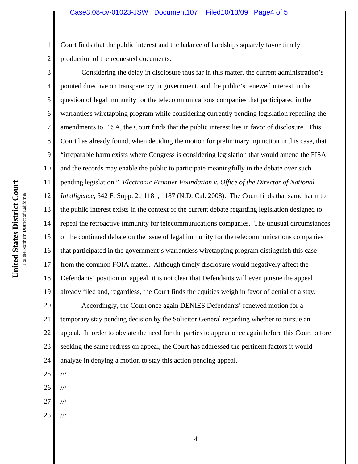Court finds that the public interest and the balance of hardships squarely favor timely production of the requested documents.

3 4 5 6 7 8 9 10 11 12 13 14 15 16 17 18 19 Considering the delay in disclosure thus far in this matter, the current administration's pointed directive on transparency in government, and the public's renewed interest in the question of legal immunity for the telecommunications companies that participated in the warrantless wiretapping program while considering currently pending legislation repealing the amendments to FISA, the Court finds that the public interest lies in favor of disclosure. This Court has already found, when deciding the motion for preliminary injunction in this case, that "irreparable harm exists where Congress is considering legislation that would amend the FISA and the records may enable the public to participate meaningfully in the debate over such pending legislation." *Electronic Frontier Foundation v. Office of the Director of National Intelligence*, 542 F. Supp. 2d 1181, 1187 (N.D. Cal. 2008). The Court finds that same harm to the public interest exists in the context of the current debate regarding legislation designed to repeal the retroactive immunity for telecommunications companies. The unusual circumstances of the continued debate on the issue of legal immunity for the telecommunications companies that participated in the government's warrantless wiretapping program distinguish this case from the common FOIA matter. Although timely disclosure would negatively affect the Defendants' position on appeal, it is not clear that Defendants will even pursue the appeal already filed and, regardless, the Court finds the equities weigh in favor of denial of a stay.

20 21 22 23 24 Accordingly, the Court once again DENIES Defendants' renewed motion for a temporary stay pending decision by the Solicitor General regarding whether to pursue an appeal. In order to obviate the need for the parties to appear once again before this Court before seeking the same redress on appeal, the Court has addressed the pertinent factors it would analyze in denying a motion to stay this action pending appeal.

25

///

26 ///

- 27 ///
- 28 ///

1